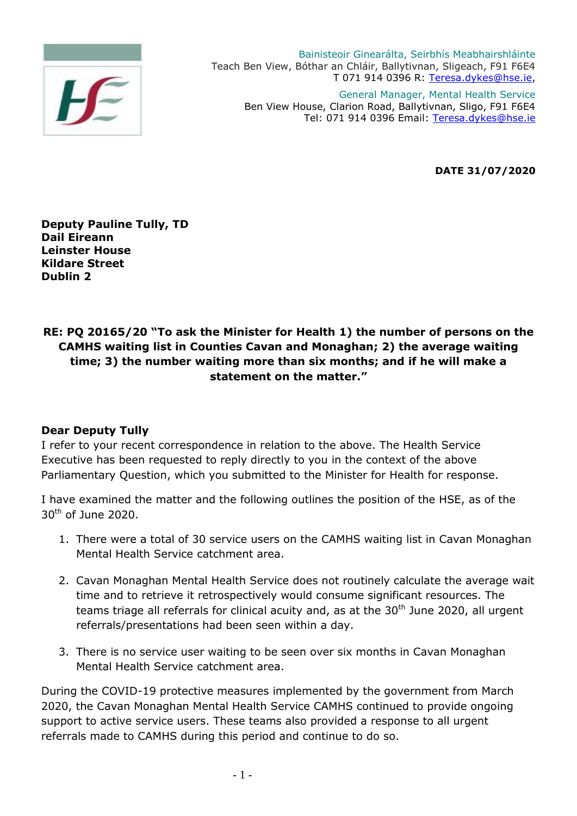

Bainisteoir Ginearálta, Seirbhís Meabhairshláinte Teach Ben View, Bóthar an Chláir, Ballytivnan, Sligeach, F91 F6E4 T 071 914 0396 R: [Teresa.dykes@hse.ie,](mailto:Teresa.dykes@hse.ie) General Manager, Mental Health Service

Ben View House, Clarion Road, Ballytivnan, Sligo, F91 F6E4 Tel: 071 914 0396 Email: [Teresa.dykes@hse.ie](mailto:Teresa.dykes@hse.ie)

**DATE 31/07/2020**

**Deputy Pauline Tully, TD Dail Eireann Leinster House Kildare Street Dublin 2**

## **RE: PQ 20165/20 "To ask the Minister for Health 1) the number of persons on the CAMHS waiting list in Counties Cavan and Monaghan; 2) the average waiting time; 3) the number waiting more than six months; and if he will make a statement on the matter."**

## **Dear Deputy Tully**

I refer to your recent correspondence in relation to the above. The Health Service Executive has been requested to reply directly to you in the context of the above Parliamentary Question, which you submitted to the Minister for Health for response.

I have examined the matter and the following outlines the position of the HSE, as of the 30th of June 2020.

- 1. There were a total of 30 service users on the CAMHS waiting list in Cavan Monaghan Mental Health Service catchment area.
- 2. Cavan Monaghan Mental Health Service does not routinely calculate the average wait time and to retrieve it retrospectively would consume significant resources. The teams triage all referrals for clinical acuity and, as at the  $30<sup>th</sup>$  June 2020, all urgent referrals/presentations had been seen within a day.
- 3. There is no service user waiting to be seen over six months in Cavan Monaghan Mental Health Service catchment area.

During the COVID-19 protective measures implemented by the government from March 2020, the Cavan Monaghan Mental Health Service CAMHS continued to provide ongoing support to active service users. These teams also provided a response to all urgent referrals made to CAMHS during this period and continue to do so.